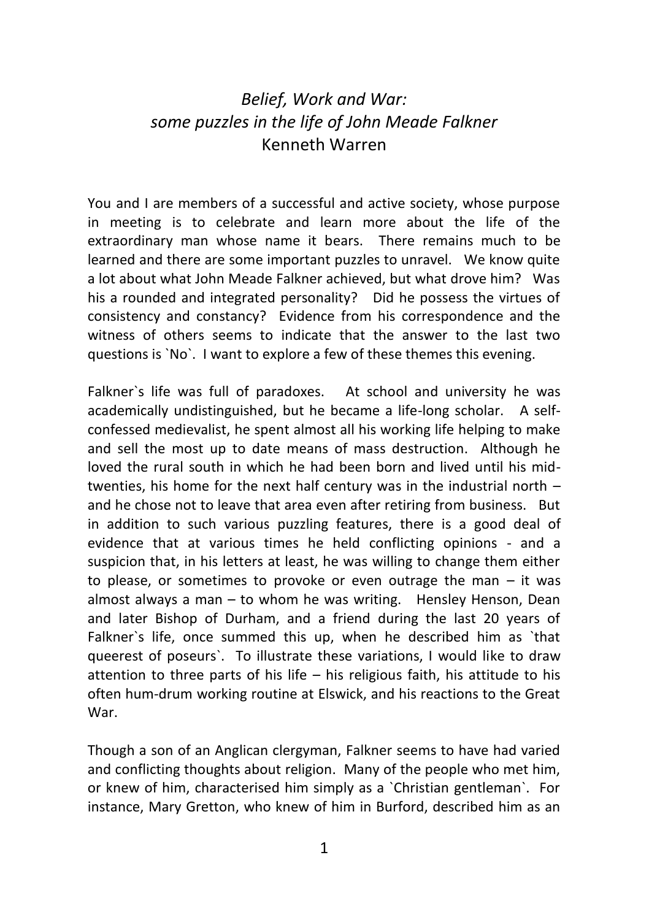## *Belief, Work and War: some puzzles in the life of John Meade Falkner* Kenneth Warren

You and I are members of a successful and active society, whose purpose in meeting is to celebrate and learn more about the life of the extraordinary man whose name it bears. There remains much to be learned and there are some important puzzles to unravel. We know quite a lot about what John Meade Falkner achieved, but what drove him? Was his a rounded and integrated personality? Did he possess the virtues of consistency and constancy? Evidence from his correspondence and the witness of others seems to indicate that the answer to the last two questions is `No`. I want to explore a few of these themes this evening.

Falkner`s life was full of paradoxes. At school and university he was academically undistinguished, but he became a life-long scholar. A selfconfessed medievalist, he spent almost all his working life helping to make and sell the most up to date means of mass destruction. Although he loved the rural south in which he had been born and lived until his midtwenties, his home for the next half century was in the industrial north – and he chose not to leave that area even after retiring from business. But in addition to such various puzzling features, there is a good deal of evidence that at various times he held conflicting opinions - and a suspicion that, in his letters at least, he was willing to change them either to please, or sometimes to provoke or even outrage the man  $-$  it was almost always a man – to whom he was writing. Hensley Henson, Dean and later Bishop of Durham, and a friend during the last 20 years of Falkner`s life, once summed this up, when he described him as `that queerest of poseurs`. To illustrate these variations, I would like to draw attention to three parts of his life – his religious faith, his attitude to his often hum-drum working routine at Elswick, and his reactions to the Great War.

Though a son of an Anglican clergyman, Falkner seems to have had varied and conflicting thoughts about religion. Many of the people who met him, or knew of him, characterised him simply as a `Christian gentleman`. For instance, Mary Gretton, who knew of him in Burford, described him as an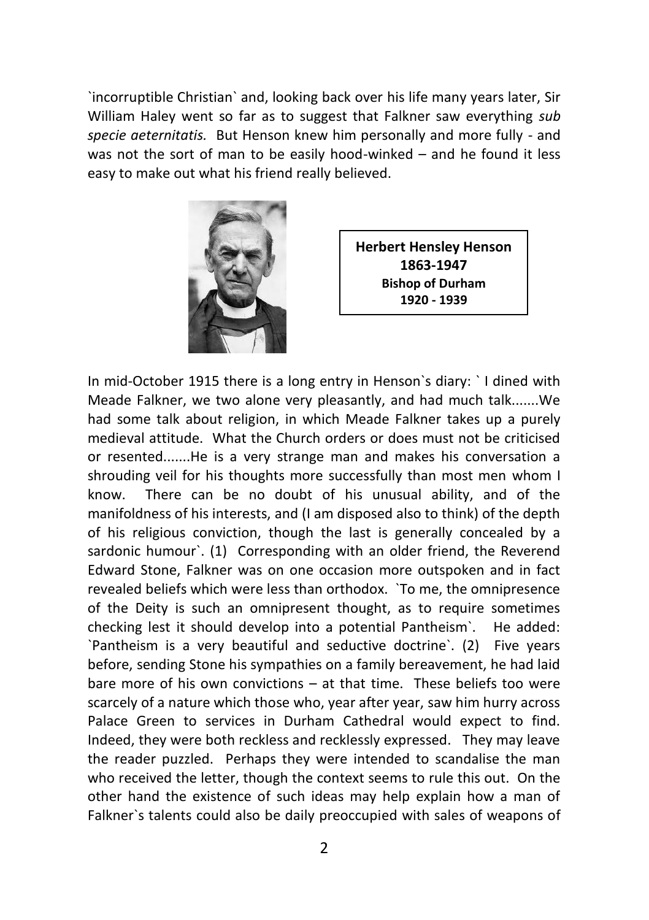`incorruptible Christian` and, looking back over his life many years later, Sir William Haley went so far as to suggest that Falkner saw everything *sub specie aeternitatis.* But Henson knew him personally and more fully - and was not the sort of man to be easily hood-winked – and he found it less easy to make out what his friend really believed.



**Herbert Hensley Henson 1863-1947 Bishop of Durham 1920 - 1939**

In mid-October 1915 there is a long entry in Henson`s diary: ` I dined with Meade Falkner, we two alone very pleasantly, and had much talk.......We had some talk about religion, in which Meade Falkner takes up a purely medieval attitude. What the Church orders or does must not be criticised or resented.......He is a very strange man and makes his conversation a shrouding veil for his thoughts more successfully than most men whom I know. There can be no doubt of his unusual ability, and of the manifoldness of his interests, and (I am disposed also to think) of the depth of his religious conviction, though the last is generally concealed by a sardonic humour`. (1) Corresponding with an older friend, the Reverend Edward Stone, Falkner was on one occasion more outspoken and in fact revealed beliefs which were less than orthodox. `To me, the omnipresence of the Deity is such an omnipresent thought, as to require sometimes checking lest it should develop into a potential Pantheism`. He added: `Pantheism is a very beautiful and seductive doctrine`. (2) Five years before, sending Stone his sympathies on a family bereavement, he had laid bare more of his own convictions – at that time. These beliefs too were scarcely of a nature which those who, year after year, saw him hurry across Palace Green to services in Durham Cathedral would expect to find. Indeed, they were both reckless and recklessly expressed. They may leave the reader puzzled. Perhaps they were intended to scandalise the man who received the letter, though the context seems to rule this out. On the other hand the existence of such ideas may help explain how a man of Falkner`s talents could also be daily preoccupied with sales of weapons of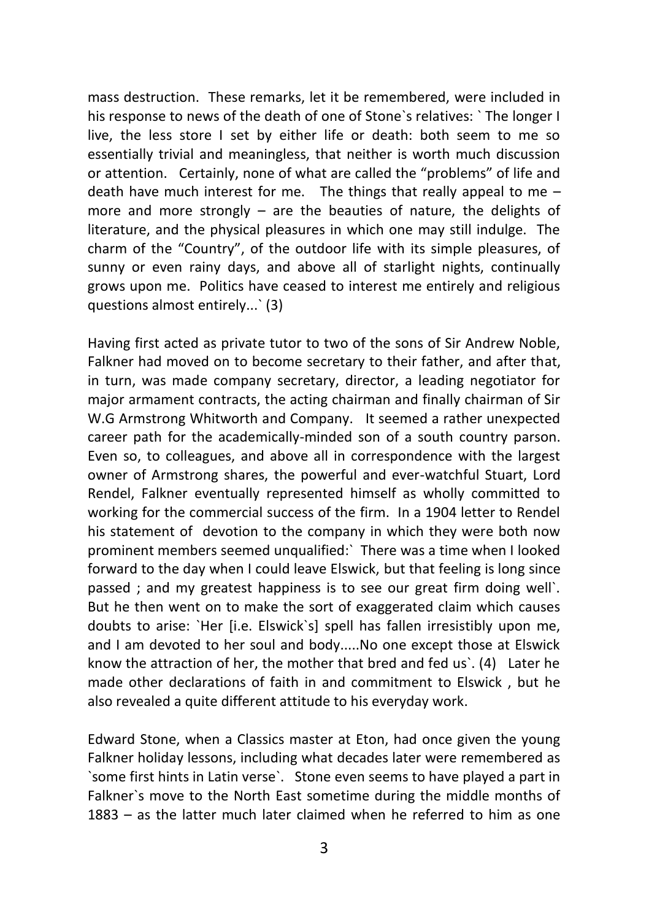mass destruction. These remarks, let it be remembered, were included in his response to news of the death of one of Stone`s relatives: ` The longer I live, the less store I set by either life or death: both seem to me so essentially trivial and meaningless, that neither is worth much discussion or attention. Certainly, none of what are called the "problems" of life and death have much interest for me. The things that really appeal to me – more and more strongly – are the beauties of nature, the delights of literature, and the physical pleasures in which one may still indulge. The charm of the "Country", of the outdoor life with its simple pleasures, of sunny or even rainy days, and above all of starlight nights, continually grows upon me. Politics have ceased to interest me entirely and religious questions almost entirely...` (3)

Having first acted as private tutor to two of the sons of Sir Andrew Noble, Falkner had moved on to become secretary to their father, and after that, in turn, was made company secretary, director, a leading negotiator for major armament contracts, the acting chairman and finally chairman of Sir W.G Armstrong Whitworth and Company. It seemed a rather unexpected career path for the academically-minded son of a south country parson. Even so, to colleagues, and above all in correspondence with the largest owner of Armstrong shares, the powerful and ever-watchful Stuart, Lord Rendel, Falkner eventually represented himself as wholly committed to working for the commercial success of the firm. In a 1904 letter to Rendel his statement of devotion to the company in which they were both now prominent members seemed unqualified:` There was a time when I looked forward to the day when I could leave Elswick, but that feeling is long since passed ; and my greatest happiness is to see our great firm doing well`. But he then went on to make the sort of exaggerated claim which causes doubts to arise: `Her [i.e. Elswick`s] spell has fallen irresistibly upon me, and I am devoted to her soul and body.....No one except those at Elswick know the attraction of her, the mother that bred and fed us`. (4) Later he made other declarations of faith in and commitment to Elswick , but he also revealed a quite different attitude to his everyday work.

Edward Stone, when a Classics master at Eton, had once given the young Falkner holiday lessons, including what decades later were remembered as `some first hints in Latin verse`. Stone even seems to have played a part in Falkner`s move to the North East sometime during the middle months of 1883 – as the latter much later claimed when he referred to him as one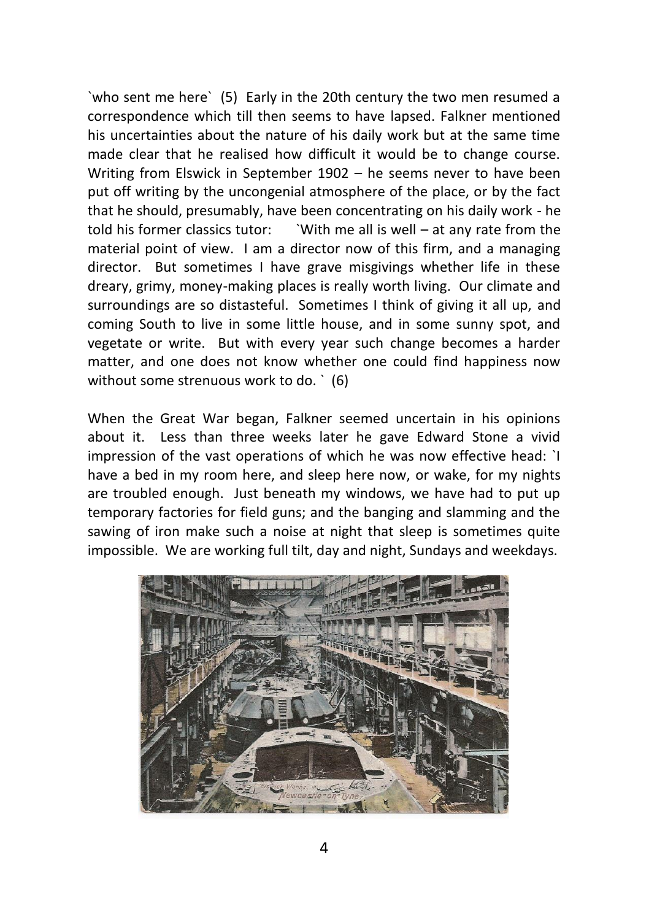`who sent me here` (5) Early in the 20th century the two men resumed a correspondence which till then seems to have lapsed. Falkner mentioned his uncertainties about the nature of his daily work but at the same time made clear that he realised how difficult it would be to change course. Writing from Elswick in September 1902 – he seems never to have been put off writing by the uncongenial atmosphere of the place, or by the fact that he should, presumably, have been concentrating on his daily work - he told his former classics tutor: `With me all is well – at any rate from the material point of view. I am a director now of this firm, and a managing director. But sometimes I have grave misgivings whether life in these dreary, grimy, money-making places is really worth living. Our climate and surroundings are so distasteful. Sometimes I think of giving it all up, and coming South to live in some little house, and in some sunny spot, and vegetate or write. But with every year such change becomes a harder matter, and one does not know whether one could find happiness now without some strenuous work to do. ` (6)

When the Great War began, Falkner seemed uncertain in his opinions about it. Less than three weeks later he gave Edward Stone a vivid impression of the vast operations of which he was now effective head: `I have a bed in my room here, and sleep here now, or wake, for my nights are troubled enough. Just beneath my windows, we have had to put up temporary factories for field guns; and the banging and slamming and the sawing of iron make such a noise at night that sleep is sometimes quite impossible. We are working full tilt, day and night, Sundays and weekdays.

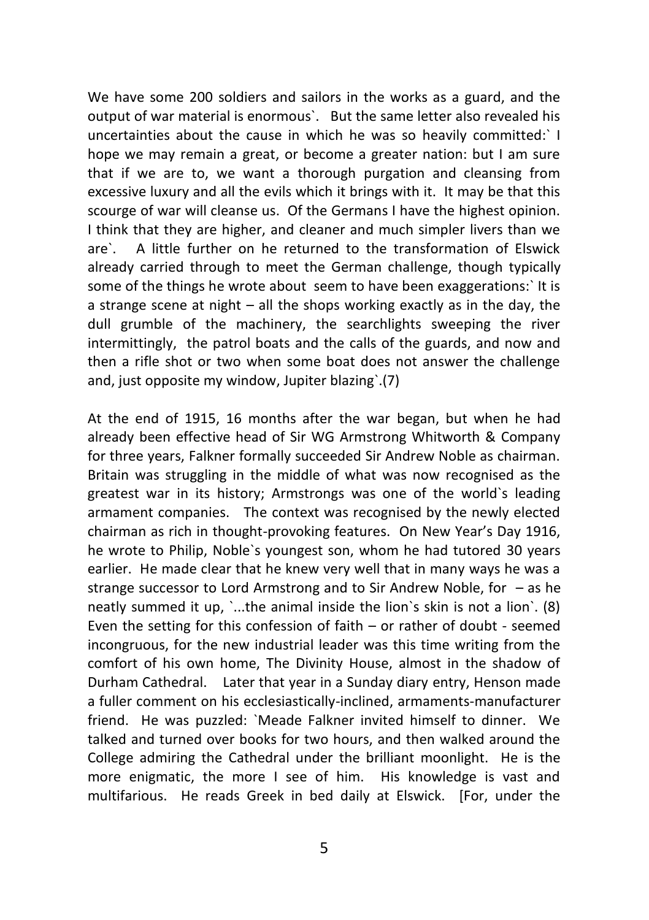We have some 200 soldiers and sailors in the works as a guard, and the output of war material is enormous`. But the same letter also revealed his uncertainties about the cause in which he was so heavily committed:` I hope we may remain a great, or become a greater nation: but I am sure that if we are to, we want a thorough purgation and cleansing from excessive luxury and all the evils which it brings with it. It may be that this scourge of war will cleanse us. Of the Germans I have the highest opinion. I think that they are higher, and cleaner and much simpler livers than we are`. A little further on he returned to the transformation of Elswick already carried through to meet the German challenge, though typically some of the things he wrote about seem to have been exaggerations:` It is a strange scene at night – all the shops working exactly as in the day, the dull grumble of the machinery, the searchlights sweeping the river intermittingly, the patrol boats and the calls of the guards, and now and then a rifle shot or two when some boat does not answer the challenge and, just opposite my window, Jupiter blazing`.(7)

At the end of 1915, 16 months after the war began, but when he had already been effective head of Sir WG Armstrong Whitworth & Company for three years, Falkner formally succeeded Sir Andrew Noble as chairman. Britain was struggling in the middle of what was now recognised as the greatest war in its history; Armstrongs was one of the world`s leading armament companies. The context was recognised by the newly elected chairman as rich in thought-provoking features. On New Year's Day 1916, he wrote to Philip, Noble`s youngest son, whom he had tutored 30 years earlier. He made clear that he knew very well that in many ways he was a strange successor to Lord Armstrong and to Sir Andrew Noble, for – as he neatly summed it up, `...the animal inside the lion`s skin is not a lion`. (8) Even the setting for this confession of faith – or rather of doubt - seemed incongruous, for the new industrial leader was this time writing from the comfort of his own home, The Divinity House, almost in the shadow of Durham Cathedral. Later that year in a Sunday diary entry, Henson made a fuller comment on his ecclesiastically-inclined, armaments-manufacturer friend. He was puzzled: `Meade Falkner invited himself to dinner. We talked and turned over books for two hours, and then walked around the College admiring the Cathedral under the brilliant moonlight. He is the more enigmatic, the more I see of him. His knowledge is vast and multifarious. He reads Greek in bed daily at Elswick. [For, under the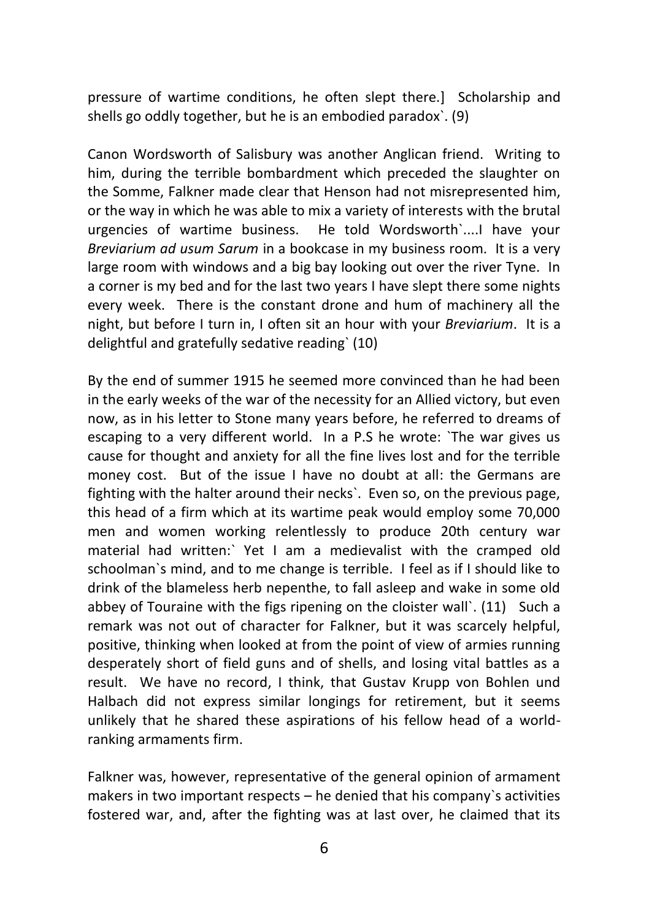pressure of wartime conditions, he often slept there.] Scholarship and shells go oddly together, but he is an embodied paradox`. (9)

Canon Wordsworth of Salisbury was another Anglican friend. Writing to him, during the terrible bombardment which preceded the slaughter on the Somme, Falkner made clear that Henson had not misrepresented him, or the way in which he was able to mix a variety of interests with the brutal urgencies of wartime business. He told Wordsworth`....I have your *Breviarium ad usum Sarum* in a bookcase in my business room. It is a very large room with windows and a big bay looking out over the river Tyne. In a corner is my bed and for the last two years I have slept there some nights every week. There is the constant drone and hum of machinery all the night, but before I turn in, I often sit an hour with your *Breviarium*. It is a delightful and gratefully sedative reading` (10)

By the end of summer 1915 he seemed more convinced than he had been in the early weeks of the war of the necessity for an Allied victory, but even now, as in his letter to Stone many years before, he referred to dreams of escaping to a very different world. In a P.S he wrote: `The war gives us cause for thought and anxiety for all the fine lives lost and for the terrible money cost. But of the issue I have no doubt at all: the Germans are fighting with the halter around their necks`. Even so, on the previous page, this head of a firm which at its wartime peak would employ some 70,000 men and women working relentlessly to produce 20th century war material had written:` Yet I am a medievalist with the cramped old schoolman`s mind, and to me change is terrible. I feel as if I should like to drink of the blameless herb nepenthe, to fall asleep and wake in some old abbey of Touraine with the figs ripening on the cloister wall`. (11) Such a remark was not out of character for Falkner, but it was scarcely helpful, positive, thinking when looked at from the point of view of armies running desperately short of field guns and of shells, and losing vital battles as a result. We have no record, I think, that Gustav Krupp von Bohlen und Halbach did not express similar longings for retirement, but it seems unlikely that he shared these aspirations of his fellow head of a worldranking armaments firm.

Falkner was, however, representative of the general opinion of armament makers in two important respects – he denied that his company`s activities fostered war, and, after the fighting was at last over, he claimed that its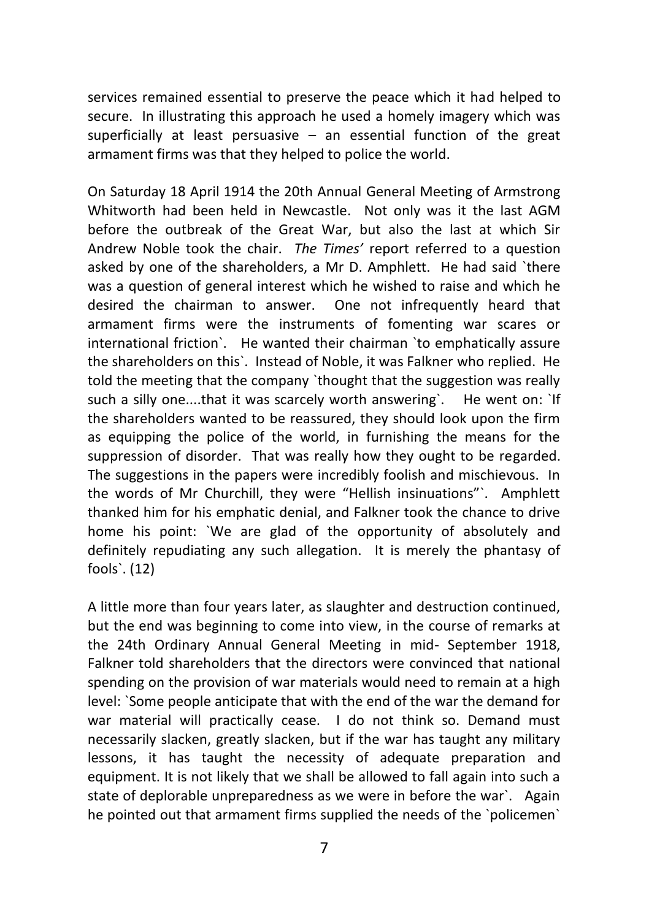services remained essential to preserve the peace which it had helped to secure. In illustrating this approach he used a homely imagery which was superficially at least persuasive – an essential function of the great armament firms was that they helped to police the world.

On Saturday 18 April 1914 the 20th Annual General Meeting of Armstrong Whitworth had been held in Newcastle. Not only was it the last AGM before the outbreak of the Great War, but also the last at which Sir Andrew Noble took the chair. *The Times'* report referred to a question asked by one of the shareholders, a Mr D. Amphlett. He had said `there was a question of general interest which he wished to raise and which he desired the chairman to answer. One not infrequently heard that armament firms were the instruments of fomenting war scares or international friction`. He wanted their chairman `to emphatically assure the shareholders on this`. Instead of Noble, it was Falkner who replied. He told the meeting that the company `thought that the suggestion was really such a silly one....that it was scarcely worth answering'. He went on: 'If the shareholders wanted to be reassured, they should look upon the firm as equipping the police of the world, in furnishing the means for the suppression of disorder. That was really how they ought to be regarded. The suggestions in the papers were incredibly foolish and mischievous. In the words of Mr Churchill, they were "Hellish insinuations"`. Amphlett thanked him for his emphatic denial, and Falkner took the chance to drive home his point: `We are glad of the opportunity of absolutely and definitely repudiating any such allegation. It is merely the phantasy of fools`. (12)

A little more than four years later, as slaughter and destruction continued, but the end was beginning to come into view, in the course of remarks at the 24th Ordinary Annual General Meeting in mid- September 1918, Falkner told shareholders that the directors were convinced that national spending on the provision of war materials would need to remain at a high level: `Some people anticipate that with the end of the war the demand for war material will practically cease. I do not think so. Demand must necessarily slacken, greatly slacken, but if the war has taught any military lessons, it has taught the necessity of adequate preparation and equipment. It is not likely that we shall be allowed to fall again into such a state of deplorable unpreparedness as we were in before the war`. Again he pointed out that armament firms supplied the needs of the `policemen`